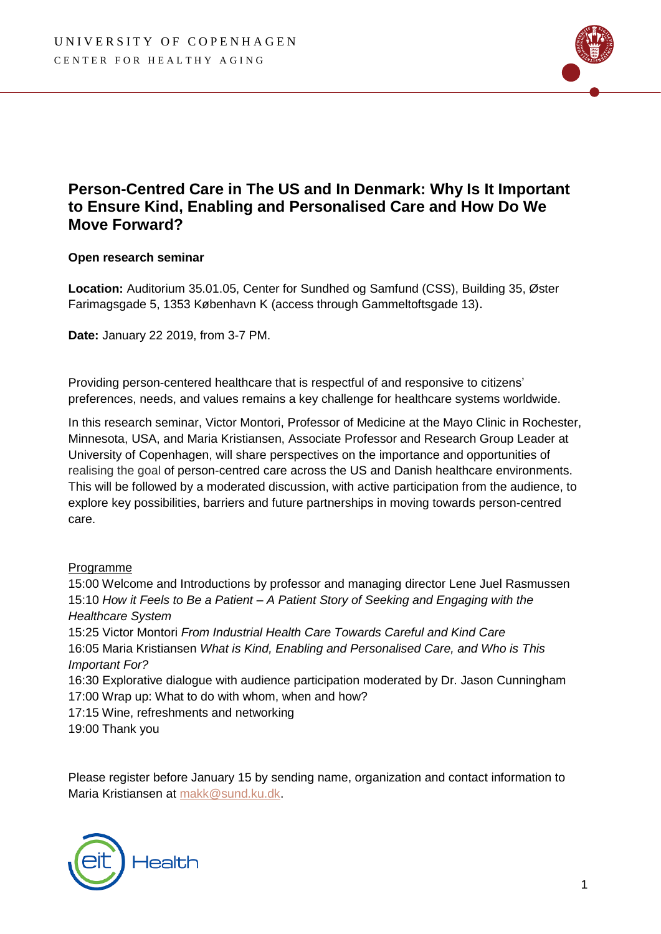

## **Person-Centred Care in The US and In Denmark: Why Is It Important to Ensure Kind, Enabling and Personalised Care and How Do We Move Forward?**

## **Open research seminar**

**Location:** Auditorium 35.01.05, Center for Sundhed og Samfund (CSS), Building 35, Øster Farimagsgade 5, 1353 København K (access through Gammeltoftsgade 13).

**Date:** January 22 2019, from 3-7 PM.

Providing person-centered healthcare that is respectful of and responsive to citizens' preferences, needs, and values remains a key challenge for healthcare systems worldwide.

In this research seminar, Victor Montori, Professor of Medicine at the Mayo Clinic in Rochester, Minnesota, USA, and Maria Kristiansen, Associate Professor and Research Group Leader at University of Copenhagen, will share perspectives on the importance and opportunities of realising the goal of person-centred care across the US and Danish healthcare environments. This will be followed by a moderated discussion, with active participation from the audience, to explore key possibilities, barriers and future partnerships in moving towards person-centred care.

## Programme

15:00 Welcome and Introductions by professor and managing director Lene Juel Rasmussen 15:10 *How it Feels to Be a Patient – A Patient Story of Seeking and Engaging with the Healthcare System* 15:25 Victor Montori *From Industrial Health Care Towards Careful and Kind Care* 16:05 Maria Kristiansen *What is Kind, Enabling and Personalised Care, and Who is This Important For?* 16:30 Explorative dialogue with audience participation moderated by Dr. Jason Cunningham 17:00 Wrap up: What to do with whom, when and how? 17:15 Wine, refreshments and networking 19:00 Thank you

Please register before January 15 by sending name, organization and contact information to Maria Kristiansen at [makk@sund.ku.dk.](mailto:makk@sund.ku.dk)